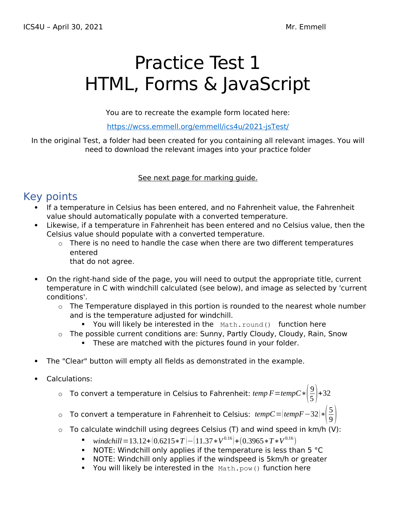# Practice Test 1 HTML, Forms & JavaScript

You are to recreate the example form located here:

https://wcss.emmell.org/emmell/ics4u/2021-jsTest/

In the original Test, a folder had been created for you containing all relevant images. You will need to download the relevant images into your practice folder

See next page for marking quide.

## Key points

- If a temperature in Celsius has been entered, and no Fahrenheit value, the Fahrenheit value should automatically populate with a converted temperature.
- Likewise, if a temperature in Fahrenheit has been entered and no Celsius value, then the Celsius value should populate with a converted temperature.
	- $\circ$  There is no need to handle the case when there are two different temperatures entered

that do not agree.

- On the right-hand side of the page, you will need to output the appropriate title, current temperature in C with windchill calculated (see below), and image as selected by 'current conditions'.
	- $\circ$  The Temperature displayed in this portion is rounded to the nearest whole number and is the temperature adjusted for windchill.
		- You will likely be interested in the Math.round() function here
	- $\circ$  The possible current conditions are: Sunny, Partly Cloudy, Cloudy, Rain, Snow
		- **These are matched with the pictures found in your folder.**
- The "Clear" button will empty all fields as demonstrated in the example.
- Calculations:
	- $\circ$  To convert a temperature in Celsius to Fahrenheit: temp F=tempC $\ast\left|\frac{9}{5}\right|$  $\frac{9}{5}$  + 32
	- <sup>o</sup> To convert a temperature in Fahrenheit to Celsius: *tempC*=(*tempF*−32)∗( 5  $\frac{5}{9}$
	- $\circ$  To calculate windchill using degrees Celsius (T) and wind speed in km/h (V):
		- *windchill* = 13.12+ $(0.6215*T)$  - $(11.37*V^{0.16})$  +  $(0.3965*T*V^{0.16})$
		- $\blacksquare$  NOTE: Windchill only applies if the temperature is less than 5  $\textdegree$ C
		- NOTE: Windchill only applies if the windspeed is 5km/h or greater
		- You will likely be interested in the  $Math.pow()$  function here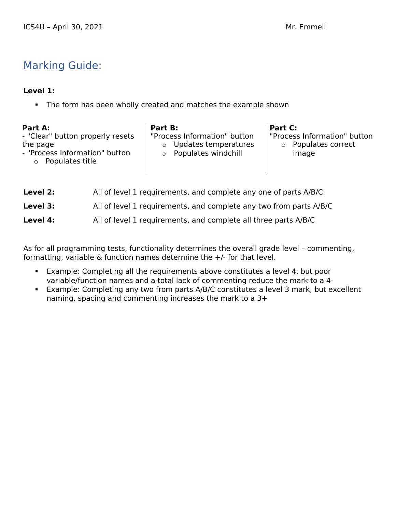## Marking Guide:

#### **Level 1:**

The form has been wholly created and matches the example shown

| Part A:<br>- "Clear" button properly resets<br>the page<br>- "Process Information" button<br>Populates title<br>$\circ$ | Part B:<br>$\Omega$<br>$\Omega$ | "Process Information" button<br>Updates temperatures<br>Populates windchill | Part C: | "Process Information" button<br>Populates correct<br>image |
|-------------------------------------------------------------------------------------------------------------------------|---------------------------------|-----------------------------------------------------------------------------|---------|------------------------------------------------------------|
| Level 2:                                                                                                                |                                 | All of level 1 requirements, and complete any one of parts A/B/C            |         |                                                            |

| ------   | $\overline{\mathbf{r}}$ , the contract $\overline{\mathbf{r}}$ , the complete any one or parts $\overline{\mathbf{r}}$ , $\overline{\mathbf{r}}$ |
|----------|--------------------------------------------------------------------------------------------------------------------------------------------------|
| Level 3: | All of level 1 requirements, and complete any two from parts A/B/C                                                                               |
| Level 4: | All of level 1 requirements, and complete all three parts A/B/C                                                                                  |

As for all programming tests, functionality determines the overall grade level – commenting, formatting, variable & function names determine the +/- for that level.

- Example: Completing all the requirements above constitutes a level 4, but poor variable/function names and a total lack of commenting reduce the mark to a 4-
- Example: Completing any two from parts A/B/C constitutes a level 3 mark, but excellent naming, spacing and commenting increases the mark to a 3+